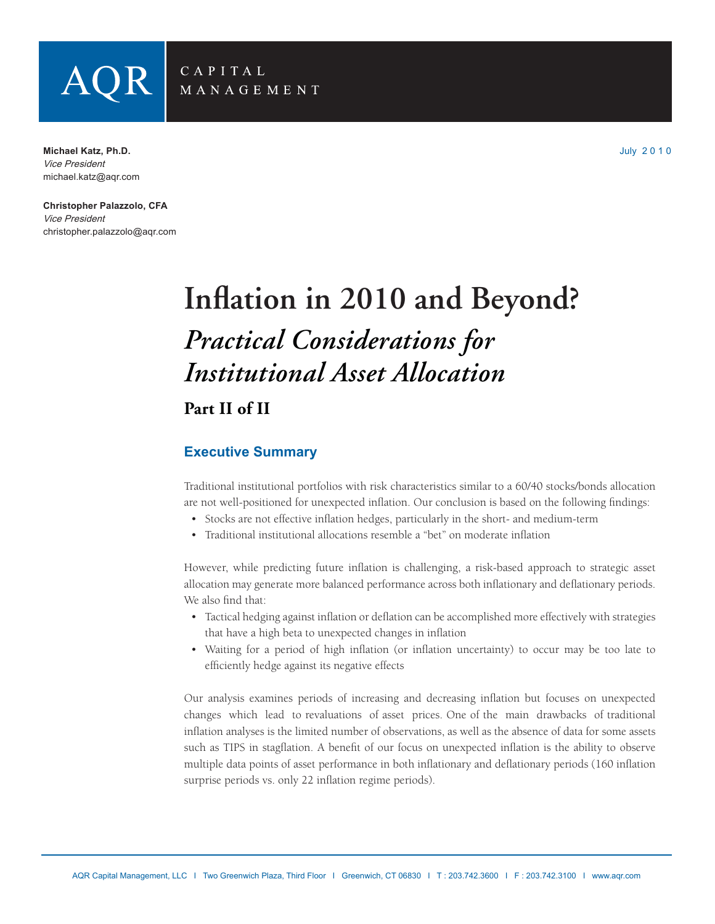

Infl ation in 2010 and Beyond? Part II

**Michael Katz, Ph.D.** July 2 0 1 0 Vice President michael.katz@aqr.com

**Christopher Palazzolo, CFA** Vice President christopher.palazzolo@aqr.com

# Inflation in 2010 and Beyond? *Practical Considerations for Institutional Asset Allocation* **Part II of II**

# **Executive Summary**

Traditional institutional portfolios with risk characteristics similar to a 60/40 stocks/bonds allocation are not well-positioned for unexpected inflation. Our conclusion is based on the following findings:

- Stocks are not effective inflation hedges, particularly in the short- and medium-term
- Traditional institutional allocations resemble a "bet" on moderate inflation

However, while predicting future inflation is challenging, a risk-based approach to strategic asset allocation may generate more balanced performance across both inflationary and deflationary periods. We also find that:

- Tactical hedging against inflation or deflation can be accomplished more effectively with strategies that have a high beta to unexpected changes in inflation
- Waiting for a period of high inflation (or inflation uncertainty) to occur may be too late to efficiently hedge against its negative effects

Our analysis examines periods of increasing and decreasing inflation but focuses on unexpected changes which lead to revaluations of asset prices. One of the main drawbacks of traditional inflation analyses is the limited number of observations, as well as the absence of data for some assets such as TIPS in stagflation. A benefit of our focus on unexpected inflation is the ability to observe multiple data points of asset performance in both inflationary and deflationary periods (160 inflation surprise periods vs. only 22 inflation regime periods).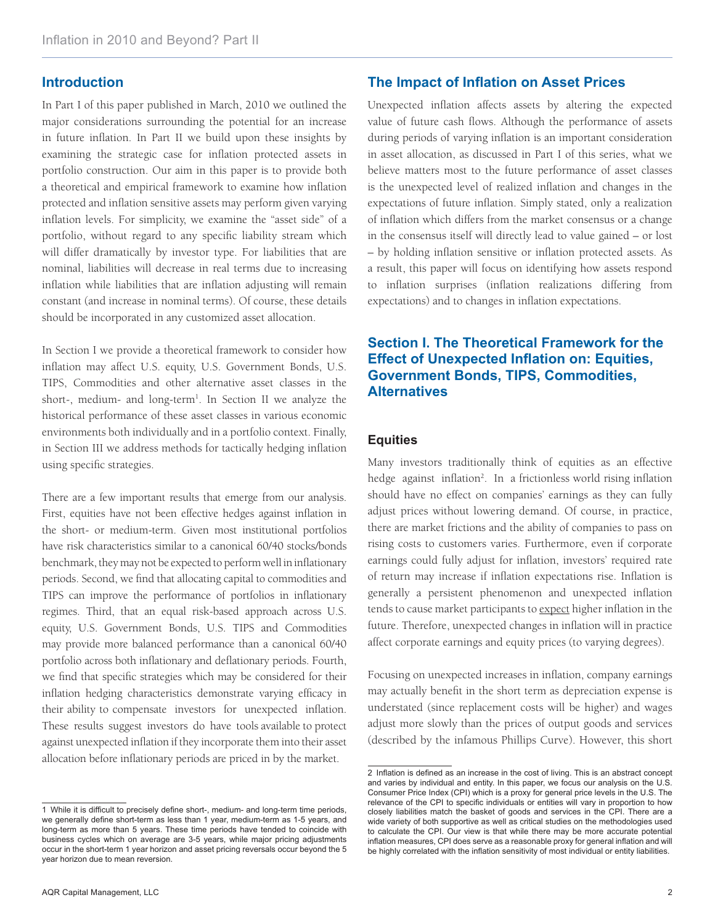## **Introduction**

In Part I of this paper published in March, 2010 we outlined the major considerations surrounding the potential for an increase in future inflation. In Part II we build upon these insights by examining the strategic case for inflation protected assets in portfolio construction. Our aim in this paper is to provide both a theoretical and empirical framework to examine how inflation protected and inflation sensitive assets may perform given varying inflation levels. For simplicity, we examine the "asset side" of a portfolio, without regard to any specific liability stream which will differ dramatically by investor type. For liabilities that are nominal, liabilities will decrease in real terms due to increasing inflation while liabilities that are inflation adjusting will remain constant (and increase in nominal terms). Of course, these details should be incorporated in any customized asset allocation.

In Section I we provide a theoretical framework to consider how inflation may affect U.S. equity, U.S. Government Bonds, U.S. TIPS, Commodities and other alternative asset classes in the short-, medium- and long-term<sup>1</sup>. In Section II we analyze the historical performance of these asset classes in various economic environments both individually and in a portfolio context. Finally, in Section III we address methods for tactically hedging inflation using specific strategies.

There are a few important results that emerge from our analysis. First, equities have not been effective hedges against inflation in the short- or medium-term. Given most institutional portfolios have risk characteristics similar to a canonical 60/40 stocks/bonds benchmark, they may not be expected to perform well in inflationary periods. Second, we find that allocating capital to commodities and TIPS can improve the performance of portfolios in inflationary regimes. Third, that an equal risk-based approach across U.S. equity, U.S. Government Bonds, U.S. TIPS and Commodities may provide more balanced performance than a canonical 60/40 portfolio across both inflationary and deflationary periods. Fourth, we find that specific strategies which may be considered for their inflation hedging characteristics demonstrate varying efficacy in their ability to compensate investors for unexpected inflation. These results suggest investors do have tools available to protect against unexpected inflation if they incorporate them into their asset allocation before inflationary periods are priced in by the market.

## **The Impact of Inflation on Asset Prices**

Unexpected inflation affects assets by altering the expected value of future cash flows. Although the performance of assets during periods of varying inflation is an important consideration in asset allocation, as discussed in Part I of this series, what we believe matters most to the future performance of asset classes is the unexpected level of realized inflation and changes in the expectations of future inflation. Simply stated, only a realization of inflation which differs from the market consensus or a change in the consensus itself will directly lead to value gained – or lost – by holding inflation sensitive or inflation protected assets. As a result, this paper will focus on identifying how assets respond to inflation surprises (inflation realizations differing from expectations) and to changes in inflation expectations.

# **Section I. The Theoretical Framework for the Effect of Unexpected Inflation on: Equities, Government Bonds, TIPS, Commodities, Alternatives**

#### **Equities**

Many investors traditionally think of equities as an effective hedge against inflation<sup>2</sup>. In a frictionless world rising inflation should have no effect on companies' earnings as they can fully adjust prices without lowering demand. Of course, in practice, there are market frictions and the ability of companies to pass on rising costs to customers varies. Furthermore, even if corporate earnings could fully adjust for inflation, investors' required rate of return may increase if inflation expectations rise. Inflation is generally a persistent phenomenon and unexpected inflation tends to cause market participants to expect higher inflation in the future. Therefore, unexpected changes in inflation will in practice affect corporate earnings and equity prices (to varying degrees).

Focusing on unexpected increases in inflation, company earnings may actually benefit in the short term as depreciation expense is understated (since replacement costs will be higher) and wages adjust more slowly than the prices of output goods and services (described by the infamous Phillips Curve). However, this short

<sup>1</sup> While it is difficult to precisely define short-, medium- and long-term time periods, we generally define short-term as less than 1 year, medium-term as 1-5 years, and long-term as more than 5 years. These time periods have tended to coincide with business cycles which on average are 3-5 years, while major pricing adjustments occur in the short-term 1 year horizon and asset pricing reversals occur beyond the 5 year horizon due to mean reversion.

<sup>2</sup> Inflation is defined as an increase in the cost of living. This is an abstract concept and varies by individual and entity. In this paper, we focus our analysis on the U.S. Consumer Price Index (CPI) which is a proxy for general price levels in the U.S. The relevance of the CPI to specific individuals or entities will vary in proportion to how closely liabilities match the basket of goods and services in the CPI. There are a wide variety of both supportive as well as critical studies on the methodologies used to calculate the CPI. Our view is that while there may be more accurate potential inflation measures, CPI does serve as a reasonable proxy for general inflation and will be highly correlated with the inflation sensitivity of most individual or entity liabilities.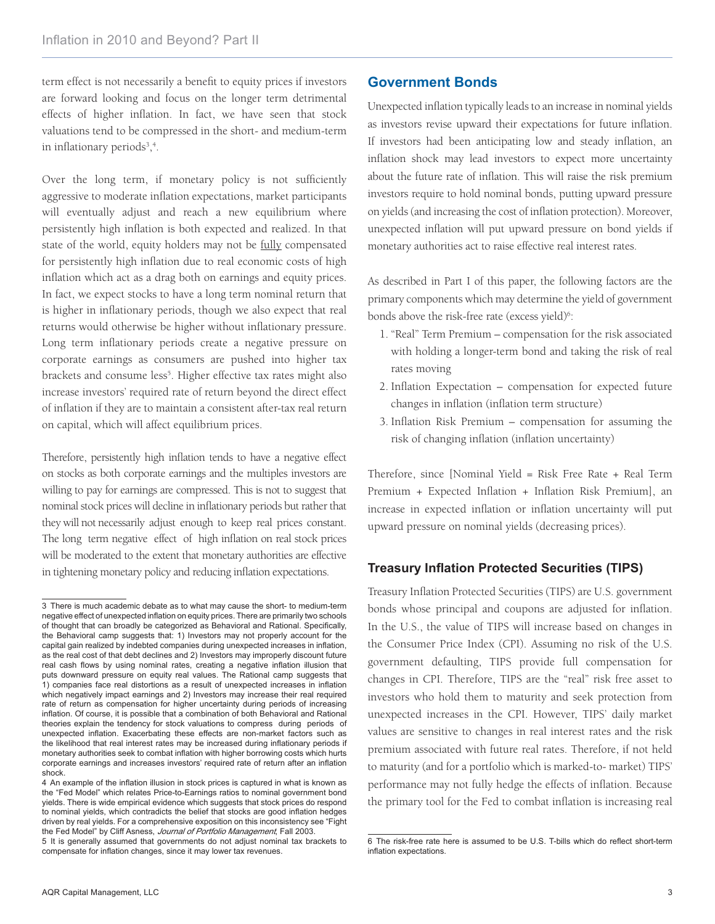term effect is not necessarily a benefit to equity prices if investors are forward looking and focus on the longer term detrimental effects of higher inflation. In fact, we have seen that stock valuations tend to be compressed in the short- and medium-term in inflationary periods<sup>3</sup>,<sup>4</sup>.

Over the long term, if monetary policy is not sufficiently aggressive to moderate inflation expectations, market participants will eventually adjust and reach a new equilibrium where persistently high inflation is both expected and realized. In that state of the world, equity holders may not be fully compensated for persistently high inflation due to real economic costs of high inflation which act as a drag both on earnings and equity prices. In fact, we expect stocks to have a long term nominal return that is higher in inflationary periods, though we also expect that real returns would otherwise be higher without inflationary pressure. Long term inflationary periods create a negative pressure on corporate earnings as consumers are pushed into higher tax brackets and consume less<sup>5</sup>. Higher effective tax rates might also increase investors' required rate of return beyond the direct effect of inflation if they are to maintain a consistent after-tax real return on capital, which will affect equilibrium prices.

Therefore, persistently high inflation tends to have a negative effect on stocks as both corporate earnings and the multiples investors are willing to pay for earnings are compressed. This is not to suggest that nominal stock prices will decline in inflationary periods but rather that they will not necessarily adjust enough to keep real prices constant. The long term negative effect of high inflation on real stock prices will be moderated to the extent that monetary authorities are effective in tightening monetary policy and reducing inflation expectations.

## **Government Bonds**

Unexpected inflation typically leads to an increase in nominal yields as investors revise upward their expectations for future inflation. If investors had been anticipating low and steady inflation, an inflation shock may lead investors to expect more uncertainty about the future rate of inflation. This will raise the risk premium investors require to hold nominal bonds, putting upward pressure on yields (and increasing the cost of inflation protection). Moreover, unexpected inflation will put upward pressure on bond yields if monetary authorities act to raise effective real interest rates.

As described in Part I of this paper, the following factors are the primary components which may determine the yield of government bonds above the risk-free rate (excess yield)<sup>6</sup>:

- 1. "Real" Term Premium compensation for the risk associated with holding a longer-term bond and taking the risk of real rates moving
- 2. Inflation Expectation compensation for expected future changes in inflation (inflation term structure)
- 3. Inflation Risk Premium compensation for assuming the risk of changing inflation (inflation uncertainty)

Therefore, since [Nominal Yield = Risk Free Rate + Real Term Premium + Expected Inflation + Inflation Risk Premium], an increase in expected inflation or inflation uncertainty will put upward pressure on nominal yields (decreasing prices).

## **Treasury Infl ation Protected Securities (TIPS)**

Treasury Inflation Protected Securities (TIPS) are U.S. government bonds whose principal and coupons are adjusted for inflation. In the U.S., the value of TIPS will increase based on changes in the Consumer Price Index (CPI). Assuming no risk of the U.S. government defaulting, TIPS provide full compensation for changes in CPI. Therefore, TIPS are the "real" risk free asset to investors who hold them to maturity and seek protection from unexpected increases in the CPI. However, TIPS' daily market values are sensitive to changes in real interest rates and the risk premium associated with future real rates. Therefore, if not held to maturity (and for a portfolio which is marked-to- market) TIPS' performance may not fully hedge the effects of inflation. Because the primary tool for the Fed to combat inflation is increasing real

<sup>3</sup> There is much academic debate as to what may cause the short- to medium-term negative effect of unexpected inflation on equity prices. There are primarily two schools of thought that can broadly be categorized as Behavioral and Rational. Specifically, the Behavioral camp suggests that: 1) Investors may not properly account for the capital gain realized by indebted companies during unexpected increases in inflation, as the real cost of that debt declines and 2) Investors may improperly discount future real cash flows by using nominal rates, creating a negative inflation illusion that puts downward pressure on equity real values. The Rational camp suggests that 1) companies face real distortions as a result of unexpected increases in inflation which negatively impact earnings and 2) Investors may increase their real required rate of return as compensation for higher uncertainty during periods of increasing inflation. Of course, it is possible that a combination of both Behavioral and Rational theories explain the tendency for stock valuations to compress during periods of unexpected inflation. Exacerbating these effects are non-market factors such as the likelihood that real interest rates may be increased during inflationary periods if monetary authorities seek to combat inflation with higher borrowing costs which hurts corporate earnings and increases investors' required rate of return after an inflation shock.

<sup>4</sup> An example of the inflation illusion in stock prices is captured in what is known as the "Fed Model" which relates Price-to-Earnings ratios to nominal government bond yields. There is wide empirical evidence which suggests that stock prices do respond to nominal yields, which contradicts the belief that stocks are good inflation hedges driven by real yields. For a comprehensive exposition on this inconsistency see "Fight the Fed Model" by Cliff Asness, Journal of Portfolio Management, Fall 2003.

<sup>5</sup> It is generally assumed that governments do not adjust nominal tax brackets to compensate for inflation changes, since it may lower tax revenues.

<sup>6</sup> The risk-free rate here is assumed to be U.S. T-bills which do reflect short-term inflation expectations.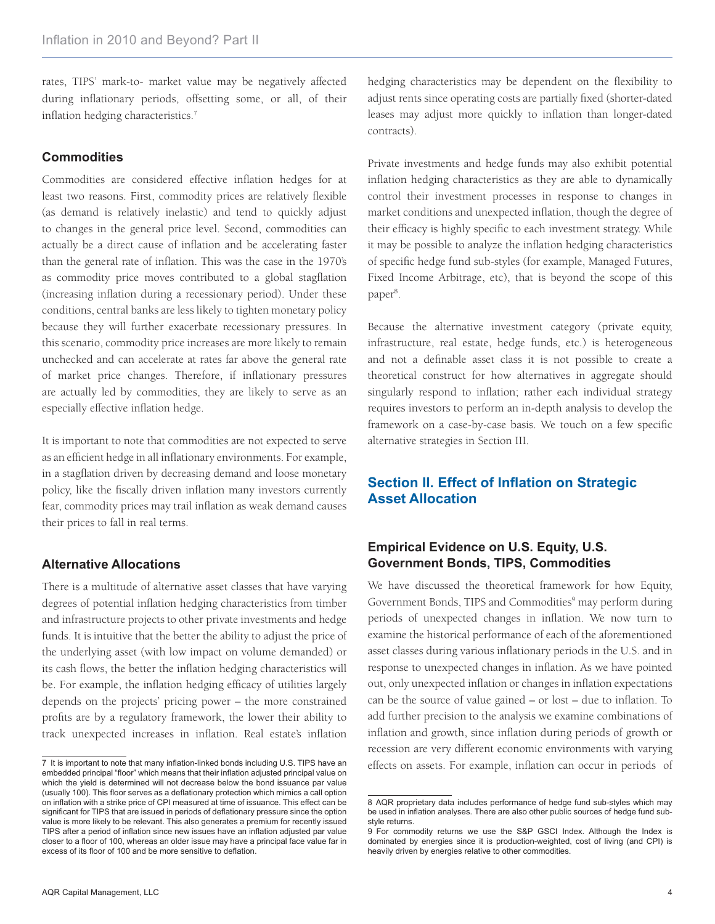rates, TIPS' mark-to- market value may be negatively affected during inflationary periods, offsetting some, or all, of their inflation hedging characteristics.<sup>7</sup>

## **Commodities**

Commodities are considered effective inflation hedges for at least two reasons. First, commodity prices are relatively flexible (as demand is relatively inelastic) and tend to quickly adjust to changes in the general price level. Second, commodities can actually be a direct cause of inflation and be accelerating faster than the general rate of inflation. This was the case in the 1970's as commodity price moves contributed to a global stagflation (increasing inflation during a recessionary period). Under these conditions, central banks are less likely to tighten monetary policy because they will further exacerbate recessionary pressures. In this scenario, commodity price increases are more likely to remain unchecked and can accelerate at rates far above the general rate of market price changes. Therefore, if inflationary pressures are actually led by commodities, they are likely to serve as an especially effective inflation hedge.

It is important to note that commodities are not expected to serve as an efficient hedge in all inflationary environments. For example, in a stagflation driven by decreasing demand and loose monetary policy, like the fiscally driven inflation many investors currently fear, commodity prices may trail inflation as weak demand causes their prices to fall in real terms.

## **Alternative Allocations**

There is a multitude of alternative asset classes that have varying degrees of potential inflation hedging characteristics from timber and infrastructure projects to other private investments and hedge funds. It is intuitive that the better the ability to adjust the price of the underlying asset (with low impact on volume demanded) or its cash flows, the better the inflation hedging characteristics will be. For example, the inflation hedging efficacy of utilities largely depends on the projects' pricing power – the more constrained profits are by a regulatory framework, the lower their ability to track unexpected increases in inflation. Real estate's inflation

hedging characteristics may be dependent on the flexibility to adjust rents since operating costs are partially fixed (shorter-dated leases may adjust more quickly to inflation than longer-dated contracts).

Private investments and hedge funds may also exhibit potential inflation hedging characteristics as they are able to dynamically control their investment processes in response to changes in market conditions and unexpected inflation, though the degree of their efficacy is highly specific to each investment strategy. While it may be possible to analyze the inflation hedging characteristics of specific hedge fund sub-styles (for example, Managed Futures, Fixed Income Arbitrage, etc), that is beyond the scope of this paper<sup>8</sup>.

Because the alternative investment category (private equity, infrastructure, real estate, hedge funds, etc.) is heterogeneous and not a definable asset class it is not possible to create a theoretical construct for how alternatives in aggregate should singularly respond to inflation; rather each individual strategy requires investors to perform an in-depth analysis to develop the framework on a case-by-case basis. We touch on a few specific alternative strategies in Section III.

# **Section II. Effect of Inflation on Strategic Asset Allocation**

## **Empirical Evidence on U.S. Equity, U.S. Government Bonds, TIPS, Commodities**

We have discussed the theoretical framework for how Equity, Government Bonds, TIPS and Commodities<sup>9</sup> may perform during periods of unexpected changes in inflation. We now turn to examine the historical performance of each of the aforementioned asset classes during various inflationary periods in the U.S. and in response to unexpected changes in inflation. As we have pointed out, only unexpected inflation or changes in inflation expectations can be the source of value gained  $-$  or lost  $-$  due to inflation. To add further precision to the analysis we examine combinations of inflation and growth, since inflation during periods of growth or recession are very different economic environments with varying effects on assets. For example, inflation can occur in periods of

<sup>7</sup> It is important to note that many inflation-linked bonds including U.S. TIPS have an embedded principal "floor" which means that their inflation adjusted principal value on which the yield is determined will not decrease below the bond issuance par value (usually 100). This floor serves as a deflationary protection which mimics a call option on inflation with a strike price of CPI measured at time of issuance. This effect can be significant for TIPS that are issued in periods of deflationary pressure since the option value is more likely to be relevant. This also generates a premium for recently issued TIPS after a period of inflation since new issues have an inflation adjusted par value closer to a floor of 100, whereas an older issue may have a principal face value far in excess of its floor of 100 and be more sensitive to deflation.

<sup>8</sup> AQR proprietary data includes performance of hedge fund sub-styles which may be used in inflation analyses. There are also other public sources of hedge fund substyle returns.

<sup>9</sup> For commodity returns we use the S&P GSCI Index. Although the Index is dominated by energies since it is production-weighted, cost of living (and CPI) is heavily driven by energies relative to other commodities.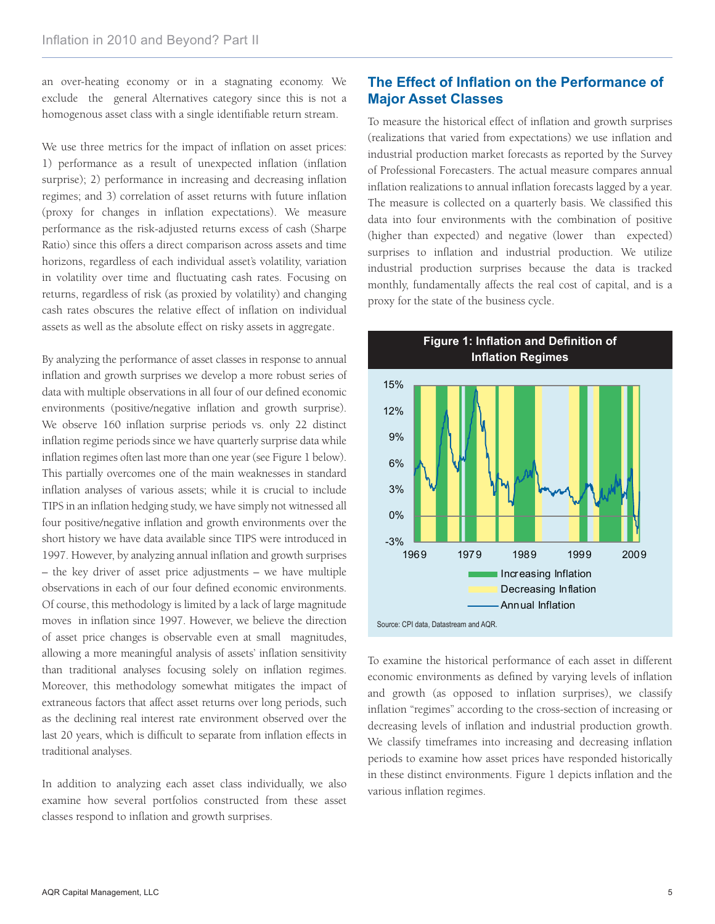an over-heating economy or in a stagnating economy. We exclude the general Alternatives category since this is not a homogenous asset class with a single identifiable return stream.

We use three metrics for the impact of inflation on asset prices: 1) performance as a result of unexpected inflation (inflation surprise); 2) performance in increasing and decreasing inflation regimes; and 3) correlation of asset returns with future inflation (proxy for changes in inflation expectations). We measure performance as the risk-adjusted returns excess of cash (Sharpe Ratio) since this offers a direct comparison across assets and time horizons, regardless of each individual asset's volatility, variation in volatility over time and fluctuating cash rates. Focusing on returns, regardless of risk (as proxied by volatility) and changing cash rates obscures the relative effect of inflation on individual assets as well as the absolute effect on risky assets in aggregate.

By analyzing the performance of asset classes in response to annual inflation and growth surprises we develop a more robust series of data with multiple observations in all four of our defined economic environments (positive/negative inflation and growth surprise). We observe 160 inflation surprise periods vs. only 22 distinct inflation regime periods since we have quarterly surprise data while inflation regimes often last more than one year (see Figure 1 below). This partially overcomes one of the main weaknesses in standard inflation analyses of various assets; while it is crucial to include TIPS in an inflation hedging study, we have simply not witnessed all four positive/negative inflation and growth environments over the short history we have data available since TIPS were introduced in 1997. However, by analyzing annual inflation and growth surprises – the key driver of asset price adjustments – we have multiple observations in each of our four defined economic environments. Of course, this methodology is limited by a lack of large magnitude moves in inflation since 1997. However, we believe the direction of asset price changes is observable even at small magnitudes, allowing a more meaningful analysis of assets' inflation sensitivity than traditional analyses focusing solely on inflation regimes. Moreover, this methodology somewhat mitigates the impact of extraneous factors that affect asset returns over long periods, such as the declining real interest rate environment observed over the last 20 years, which is difficult to separate from inflation effects in traditional analyses.

In addition to analyzing each asset class individually, we also examine how several portfolios constructed from these asset classes respond to inflation and growth surprises.

# **The Effect of Infl ation on the Performance of Major Asset Classes**

To measure the historical effect of inflation and growth surprises (realizations that varied from expectations) we use inflation and industrial production market forecasts as reported by the Survey of Professional Forecasters. The actual measure compares annual inflation realizations to annual inflation forecasts lagged by a year. The measure is collected on a quarterly basis. We classified this data into four environments with the combination of positive (higher than expected) and negative (lower than expected) surprises to inflation and industrial production. We utilize industrial production surprises because the data is tracked monthly, fundamentally affects the real cost of capital, and is a proxy for the state of the business cycle.



To examine the historical performance of each asset in different economic environments as defined by varying levels of inflation and growth (as opposed to inflation surprises), we classify inflation "regimes" according to the cross-section of increasing or decreasing levels of inflation and industrial production growth. We classify timeframes into increasing and decreasing inflation periods to examine how asset prices have responded historically in these distinct environments. Figure 1 depicts inflation and the various inflation regimes.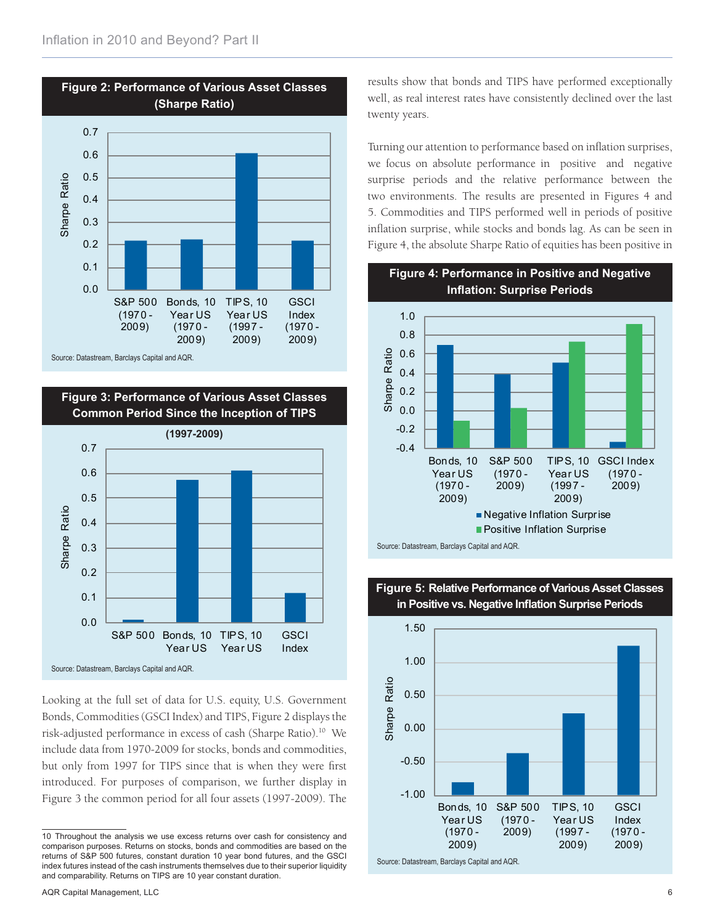







Looking at the full set of data for U.S. equity, U.S. Government Bonds, Commodities (GSCI Index) and TIPS, Figure 2 displays the risk-adjusted performance in excess of cash (Sharpe Ratio).10 We include data from 1970-2009 for stocks, bonds and commodities, but only from 1997 for TIPS since that is when they were first introduced. For purposes of comparison, we further display in Figure 3 the common period for all four assets (1997-2009). The results show that bonds and TIPS have performed exceptionally well, as real interest rates have consistently declined over the last twenty years.

Turning our attention to performance based on inflation surprises, we focus on absolute performance in positive and negative surprise periods and the relative performance between the two environments. The results are presented in Figures 4 and 5. Commodities and TIPS performed well in periods of positive inflation surprise, while stocks and bonds lag. As can be seen in Figure 4, the absolute Sharpe Ratio of equities has been positive in





Source: Datastream, Barclays Capital and AQR.



#### **Figure 5: Relative Performance of Various Asset Classes in Positive vs. Negative Inflation Surprise Periods**

Source: Datastream, Barclays Capital and AQR.

<sup>10</sup> Throughout the analysis we use excess returns over cash for consistency and comparison purposes. Returns on stocks, bonds and commodities are based on the returns of S&P 500 futures, constant duration 10 year bond futures, and the GSCI index futures instead of the cash instruments themselves due to their superior liquidity and comparability. Returns on TIPS are 10 year constant duration.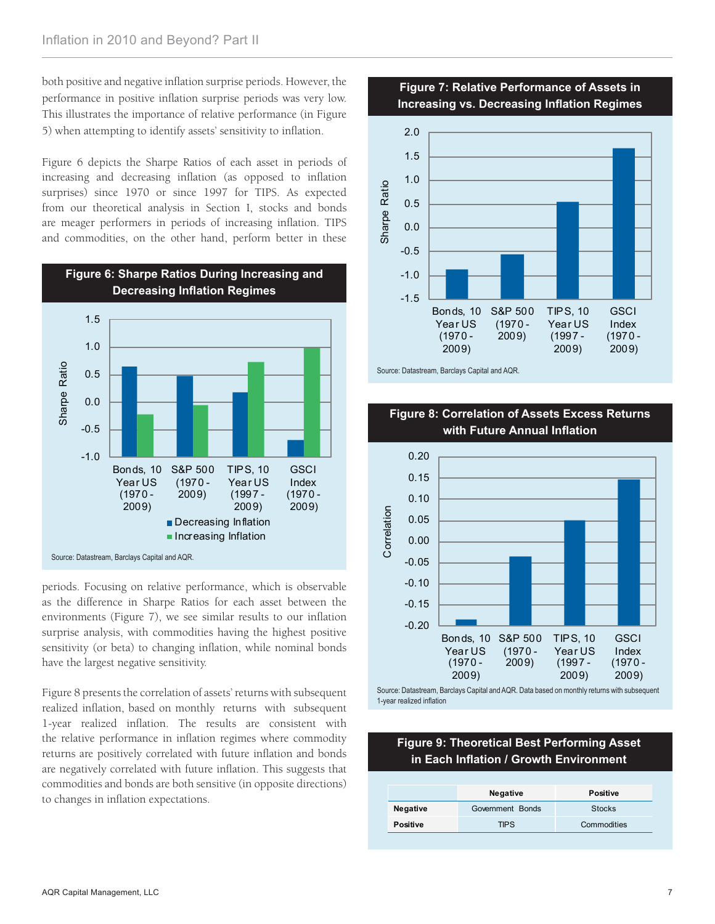both positive and negative inflation surprise periods. However, the performance in positive inflation surprise periods was very low. This illustrates the importance of relative performance (in Figure 5) when attempting to identify assets' sensitivity to inflation.

Figure 6 depicts the Sharpe Ratios of each asset in periods of increasing and decreasing inflation (as opposed to inflation surprises) since 1970 or since 1997 for TIPS. As expected from our theoretical analysis in Section I, stocks and bonds are meager performers in periods of increasing inflation. TIPS and commodities, on the other hand, perform better in these



periods. Focusing on relative performance, which is observable as the difference in Sharpe Ratios for each asset between the environments (Figure 7), we see similar results to our inflation surprise analysis, with commodities having the highest positive sensitivity (or beta) to changing inflation, while nominal bonds have the largest negative sensitivity.

Figure 8 presents the correlation of assets' returns with subsequent realized inflation, based on monthly returns with subsequent 1-year realized inflation. The results are consistent with the relative performance in inflation regimes where commodity returns are positively correlated with future inflation and bonds are negatively correlated with future inflation. This suggests that commodities and bonds are both sensitive (in opposite directions) to changes in inflation expectations.

**Figure 7: Relative Performance of Assets in Increasing vs. Decreasing Infl ation Regimes**



Source: Datastream, Barclays Capital and AQR.



#### **Figure 8: Correlation of Assets Excess Returns with Future Annual Inflation**

Source: Datastream, Barclays Capital and AQR. Data based on monthly returns with subsequent 1-year realized inflation

#### **Figure 9: Theoretical Best Performing Asset in Each Infl ation / Growth Environment**

|                 | Negative         | <b>Positive</b> |  |
|-----------------|------------------|-----------------|--|
| <b>Negative</b> | Government Bonds | <b>Stocks</b>   |  |
| <b>Positive</b> | <b>TIPS</b>      | Commodities     |  |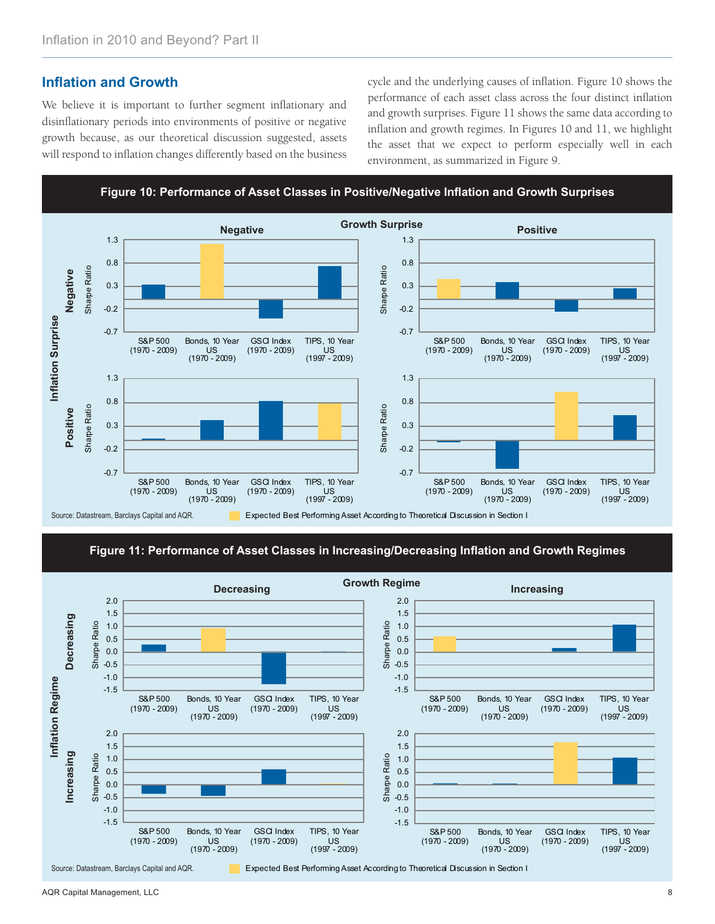## **Inflation and Growth**

We believe it is important to further segment inflationary and disinflationary periods into environments of positive or negative growth because, as our theoretical discussion suggested, assets will respond to inflation changes differently based on the business cycle and the underlying causes of inflation. Figure 10 shows the performance of each asset class across the four distinct inflation and growth surprises. Figure 11 shows the same data according to inflation and growth regimes. In Figures 10 and 11, we highlight the asset that we expect to perform especially well in each environment, as summarized in Figure 9.

**Figure 10: Performance of Asset Classes in Positive/Negative Infl ation and Growth Surprises**



**Figure 11: Performance of Asset Classes in Increasing/Decreasing Infl ation and Growth Regimes**

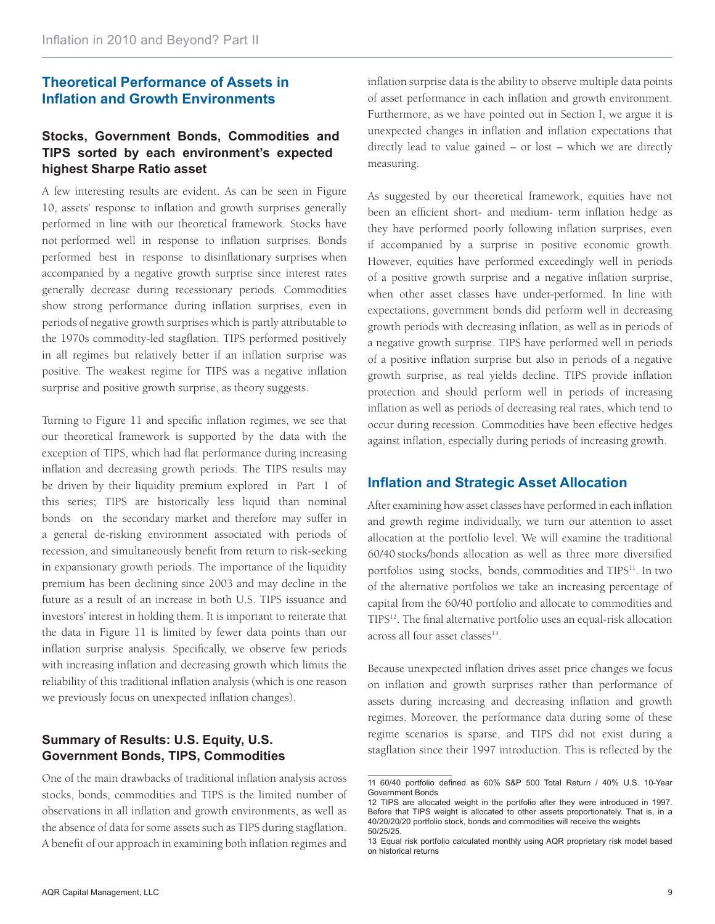# **Theoretical Performance of Assets in Inflation and Growth Environments**

## **Stocks, Government Bonds, Commodities and TIPS sorted by each environment's expected highest Sharpe Ratio asset**

A few interesting results are evident. As can be seen in Figure 10, assets' response to inflation and growth surprises generally performed in line with our theoretical framework. Stocks have not performed well in response to inflation surprises. Bonds performed best in response to disinflationary surprises when accompanied by a negative growth surprise since interest rates generally decrease during recessionary periods. Commodities show strong performance during inflation surprises, even in periods of negative growth surprises which is partly attributable to the 1970s commodity-led stagflation. TIPS performed positively in all regimes but relatively better if an inflation surprise was positive. The weakest regime for TIPS was a negative inflation surprise and positive growth surprise, as theory suggests.

Turning to Figure 11 and specific inflation regimes, we see that our theoretical framework is supported by the data with the exception of TIPS, which had flat performance during increasing inflation and decreasing growth periods. The TIPS results may be driven by their liquidity premium explored in Part I of this series; TIPS are historically less liquid than nominal bonds on the secondary market and therefore may suffer in a general de-risking environment associated with periods of recession, and simultaneously benefit from return to risk-seeking in expansionary growth periods. The importance of the liquidity premium has been declining since 2003 and may decline in the future as a result of an increase in both U.S. TIPS issuance and investors' interest in holding them. It is important to reiterate that the data in Figure 11 is limited by fewer data points than our inflation surprise analysis. Specifically, we observe few periods with increasing inflation and decreasing growth which limits the reliability of this traditional inflation analysis (which is one reason we previously focus on unexpected inflation changes).

# **Summary of Results: U.S. Equity, U.S. Government Bonds, TIPS, Commodities**

One of the main drawbacks of traditional inflation analysis across stocks, bonds, commodities and TIPS is the limited number of observations in all inflation and growth environments, as well as the absence of data for some assets such as TIPS during stagflation. A benefit of our approach in examining both inflation regimes and inflation surprise data is the ability to observe multiple data points of asset performance in each inflation and growth environment. Furthermore, as we have pointed out in Section I, we argue it is unexpected changes in inflation and inflation expectations that directly lead to value gained – or lost – which we are directly measuring.

As suggested by our theoretical framework, equities have not been an efficient short- and medium- term inflation hedge as they have performed poorly following inflation surprises, even if accompanied by a surprise in positive economic growth. However, equities have performed exceedingly well in periods of a positive growth surprise and a negative inflation surprise, when other asset classes have under-performed. In line with expectations, government bonds did perform well in decreasing growth periods with decreasing inflation, as well as in periods of a negative growth surprise. TIPS have performed well in periods of a positive inflation surprise but also in periods of a negative growth surprise, as real yields decline. TIPS provide inflation protection and should perform well in periods of increasing inflation as well as periods of decreasing real rates, which tend to occur during recession. Commodities have been effective hedges against inflation, especially during periods of increasing growth.

## **Inflation and Strategic Asset Allocation**

After examining how asset classes have performed in each inflation and growth regime individually, we turn our attention to asset allocation at the portfolio level. We will examine the traditional 60/40 stocks/bonds allocation as well as three more diversified portfolios using stocks, bonds, commodities and TIPS<sup>11</sup>. In two of the alternative portfolios we take an increasing percentage of capital from the 60/40 portfolio and allocate to commodities and TIPS<sup>12</sup>. The final alternative portfolio uses an equal-risk allocation across all four asset classes<sup>13</sup>

Because unexpected inflation drives asset price changes we focus on inflation and growth surprises rather than performance of assets during increasing and decreasing inflation and growth regimes. Moreover, the performance data during some of these regime scenarios is sparse, and TIPS did not exist during a stagflation since their 1997 introduction. This is reflected by the

<sup>11 60/40</sup> portfolio defined as 60% S&P 500 Total Return / 40% U.S. 10-Year Government Bonds

<sup>12</sup> TIPS are allocated weight in the portfolio after they were introduced in 1997. Before that TIPS weight is allocated to other assets proportionately. That is, in a 40/20/20/20 portfolio stock, bonds and commodities will receive the weights 50/25/25.

<sup>13</sup> Equal risk portfolio calculated monthly using AQR proprietary risk model based on historical returns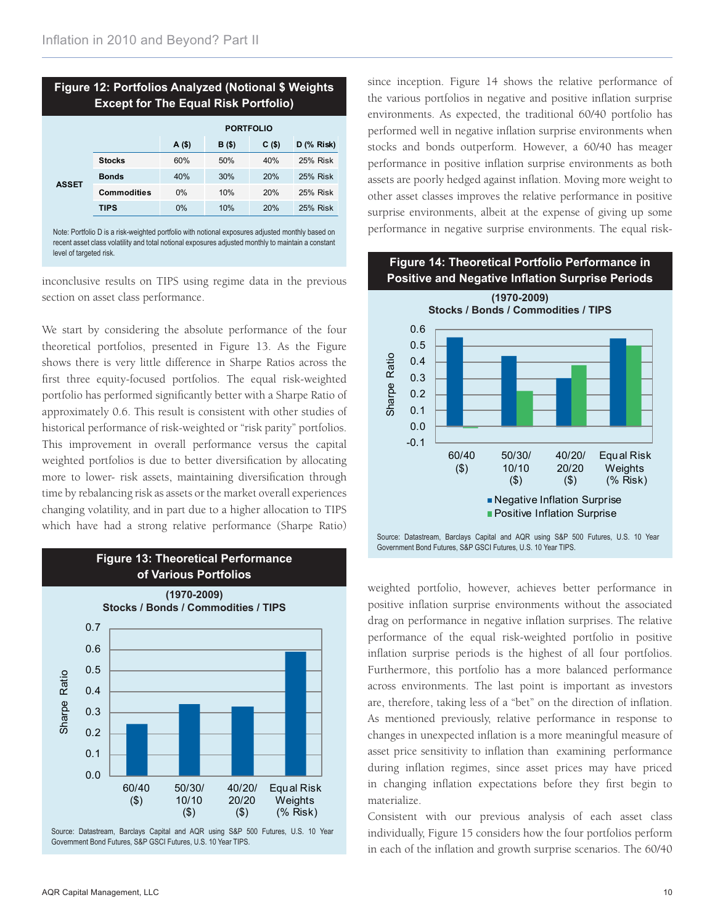| Figure 12: Portfolios Analyzed (Notional \$ Weights <sup>)</sup> |
|------------------------------------------------------------------|
| <b>Except for The Equal Risk Portfolio)</b>                      |

|              |                    | <b>PORTFOLIO</b> |          |          |                 |
|--------------|--------------------|------------------|----------|----------|-----------------|
|              |                    | $A($ \$)         | $B($ \$) | $C($ \$) | $D$ (% Risk)    |
| <b>ASSET</b> | <b>Stocks</b>      | 60%              | 50%      | 40%      | 25% Risk        |
|              | <b>Bonds</b>       | 40%              | 30%      | 20%      | 25% Risk        |
|              | <b>Commodities</b> | 0%               | 10%      | 20%      | 25% Risk        |
|              | <b>TIPS</b>        | 0%               | 10%      | 20%      | <b>25% Risk</b> |

Note: Portfolio D is a risk-weighted portfolio with notional exposures adjusted monthly based on recent asset class volatility and total notional exposures adjusted monthly to maintain a constant level of targeted risk.

inconclusive results on TIPS using regime data in the previous section on asset class performance.

We start by considering the absolute performance of the four theoretical portfolios, presented in Figure 13. As the Figure shows there is very little difference in Sharpe Ratios across the first three equity-focused portfolios. The equal risk-weighted portfolio has performed significantly better with a Sharpe Ratio of approximately 0.6. This result is consistent with other studies of historical performance of risk-weighted or "risk parity" portfolios. This improvement in overall performance versus the capital weighted portfolios is due to better diversification by allocating more to lower- risk assets, maintaining diversification through time by rebalancing risk as assets or the market overall experiences changing volatility, and in part due to a higher allocation to TIPS which have had a strong relative performance (Sharpe Ratio)



since inception. Figure 14 shows the relative performance of the various portfolios in negative and positive inflation surprise environments. As expected, the traditional 60/40 portfolio has performed well in negative inflation surprise environments when stocks and bonds outperform. However, a 60/40 has meager performance in positive inflation surprise environments as both assets are poorly hedged against inflation. Moving more weight to other asset classes improves the relative performance in positive surprise environments, albeit at the expense of giving up some performance in negative surprise environments. The equal risk-

**Figure 14: Theoretical Portfolio Performance in** 



Source: Datastream, Barclays Capital and AQR using S&P 500 Futures, U.S. 10 Year Government Bond Futures, S&P GSCI Futures, U.S. 10 Year TIPS.

weighted portfolio, however, achieves better performance in positive inflation surprise environments without the associated drag on performance in negative inflation surprises. The relative performance of the equal risk-weighted portfolio in positive inflation surprise periods is the highest of all four portfolios. Furthermore, this portfolio has a more balanced performance across environments. The last point is important as investors are, therefore, taking less of a "bet" on the direction of inflation. As mentioned previously, relative performance in response to changes in unexpected inflation is a more meaningful measure of asset price sensitivity to inflation than examining performance during inflation regimes, since asset prices may have priced in changing inflation expectations before they first begin to materialize.

Consistent with our previous analysis of each asset class individually, Figure 15 considers how the four portfolios perform in each of the inflation and growth surprise scenarios. The 60/40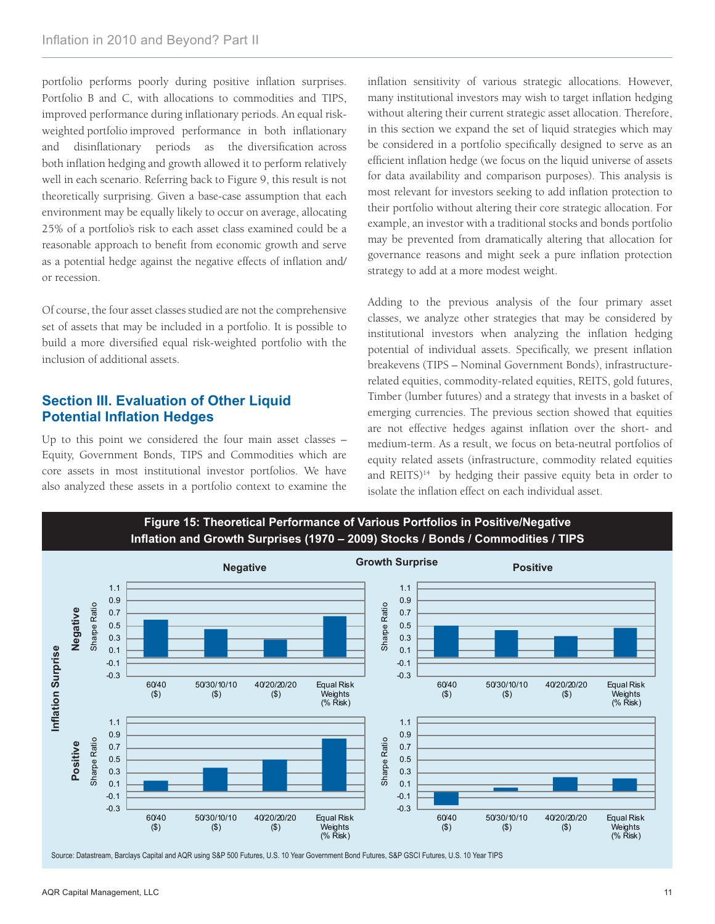portfolio performs poorly during positive inflation surprises. Portfolio B and C, with allocations to commodities and TIPS, improved performance during inflationary periods. An equal riskweighted portfolio improved performance in both inflationary and disinflationary periods as the diversification across both inflation hedging and growth allowed it to perform relatively well in each scenario. Referring back to Figure 9, this result is not theoretically surprising. Given a base-case assumption that each environment may be equally likely to occur on average, allocating 25% of a portfolio's risk to each asset class examined could be a reasonable approach to benefit from economic growth and serve as a potential hedge against the negative effects of inflation and/ or recession.

Of course, the four asset classes studied are not the comprehensive set of assets that may be included in a portfolio. It is possible to build a more diversified equal risk-weighted portfolio with the inclusion of additional assets.

# **Section III. Evaluation of Other Liquid Potential Inflation Hedges**

Up to this point we considered the four main asset classes – Equity, Government Bonds, TIPS and Commodities which are core assets in most institutional investor portfolios. We have also analyzed these assets in a portfolio context to examine the inflation sensitivity of various strategic allocations. However, many institutional investors may wish to target inflation hedging without altering their current strategic asset allocation. Therefore, in this section we expand the set of liquid strategies which may be considered in a portfolio specifically designed to serve as an efficient inflation hedge (we focus on the liquid universe of assets for data availability and comparison purposes). This analysis is most relevant for investors seeking to add inflation protection to their portfolio without altering their core strategic allocation. For example, an investor with a traditional stocks and bonds portfolio may be prevented from dramatically altering that allocation for governance reasons and might seek a pure inflation protection strategy to add at a more modest weight.

Adding to the previous analysis of the four primary asset classes, we analyze other strategies that may be considered by institutional investors when analyzing the inflation hedging potential of individual assets. Specifically, we present inflation breakevens (TIPS – Nominal Government Bonds), infrastructurerelated equities, commodity-related equities, REITS, gold futures, Timber (lumber futures) and a strategy that invests in a basket of emerging currencies. The previous section showed that equities are not effective hedges against inflation over the short- and medium-term. As a result, we focus on beta-neutral portfolios of equity related assets (infrastructure, commodity related equities and REITS)<sup>14</sup> by hedging their passive equity beta in order to isolate the inflation effect on each individual asset.



**Figure 15: Theoretical Performance of Various Portfolios in Positive/Negative**

Source: Datastream, Barclays Capital and AQR using S&P 500 Futures, U.S. 10 Year Government Bond Futures, S&P GSCI Futures, U.S. 10 Year TIPS

#### AQR Capital Management, LLC 11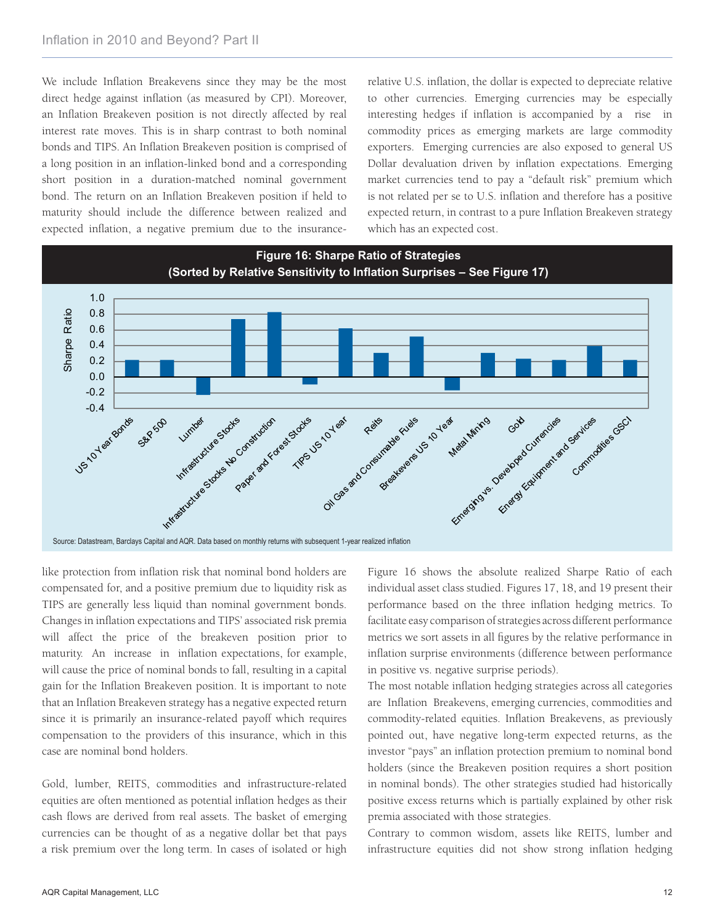We include Inflation Breakevens since they may be the most direct hedge against inflation (as measured by CPI). Moreover, an Inflation Breakeven position is not directly affected by real interest rate moves. This is in sharp contrast to both nominal bonds and TIPS. An Inflation Breakeven position is comprised of a long position in an inflation-linked bond and a corresponding short position in a duration-matched nominal government bond. The return on an Inflation Breakeven position if held to maturity should include the difference between realized and expected inflation, a negative premium due to the insurancerelative U.S. inflation, the dollar is expected to depreciate relative to other currencies. Emerging currencies may be especially interesting hedges if inflation is accompanied by a rise in commodity prices as emerging markets are large commodity exporters. Emerging currencies are also exposed to general US Dollar devaluation driven by inflation expectations. Emerging market currencies tend to pay a "default risk" premium which is not related per se to U.S. inflation and therefore has a positive expected return, in contrast to a pure Inflation Breakeven strategy which has an expected cost.



like protection from inflation risk that nominal bond holders are compensated for, and a positive premium due to liquidity risk as TIPS are generally less liquid than nominal government bonds. Changes in inflation expectations and TIPS' associated risk premia will affect the price of the breakeven position prior to maturity. An increase in inflation expectations, for example, will cause the price of nominal bonds to fall, resulting in a capital gain for the Inflation Breakeven position. It is important to note that an Inflation Breakeven strategy has a negative expected return since it is primarily an insurance-related payoff which requires compensation to the providers of this insurance, which in this case are nominal bond holders.

Gold, lumber, REITS, commodities and infrastructure-related equities are often mentioned as potential inflation hedges as their cash flows are derived from real assets. The basket of emerging currencies can be thought of as a negative dollar bet that pays a risk premium over the long term. In cases of isolated or high

Figure 16 shows the absolute realized Sharpe Ratio of each individual asset class studied. Figures 17, 18, and 19 present their performance based on the three inflation hedging metrics. To facilitate easy comparison of strategies across different performance metrics we sort assets in all figures by the relative performance in inflation surprise environments (difference between performance in positive vs. negative surprise periods).

The most notable inflation hedging strategies across all categories are Inflation Breakevens, emerging currencies, commodities and commodity-related equities. Inflation Breakevens, as previously pointed out, have negative long-term expected returns, as the investor "pays" an inflation protection premium to nominal bond holders (since the Breakeven position requires a short position in nominal bonds). The other strategies studied had historically positive excess returns which is partially explained by other risk premia associated with those strategies.

Contrary to common wisdom, assets like REITS, lumber and infrastructure equities did not show strong inflation hedging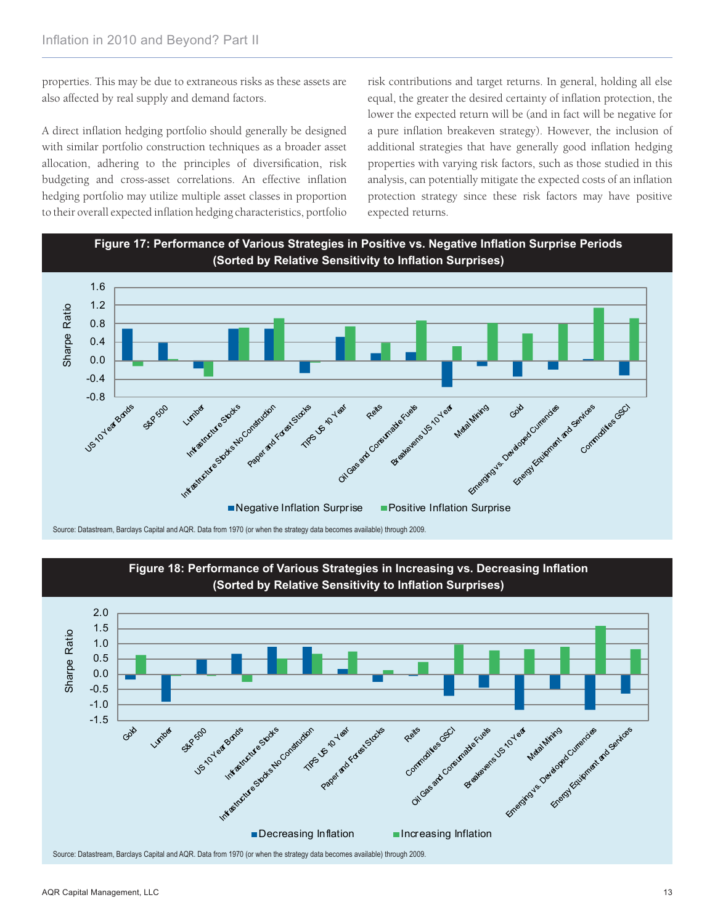properties. This may be due to extraneous risks as these assets are also affected by real supply and demand factors.

A direct inflation hedging portfolio should generally be designed with similar portfolio construction techniques as a broader asset allocation, adhering to the principles of diversification, risk budgeting and cross-asset correlations. An effective inflation hedging portfolio may utilize multiple asset classes in proportion to their overall expected inflation hedging characteristics, portfolio risk contributions and target returns. In general, holding all else equal, the greater the desired certainty of inflation protection, the lower the expected return will be (and in fact will be negative for a pure inflation breakeven strategy). However, the inclusion of additional strategies that have generally good inflation hedging properties with varying risk factors, such as those studied in this analysis, can potentially mitigate the expected costs of an inflation protection strategy since these risk factors may have positive expected returns.



Source: Datastream, Barclays Capital and AQR. Data from 1970 (or when the strategy data becomes available) through 2009.



Source: Datastream, Barclays Capital and AQR. Data from 1970 (or when the strategy data becomes available) through 2009.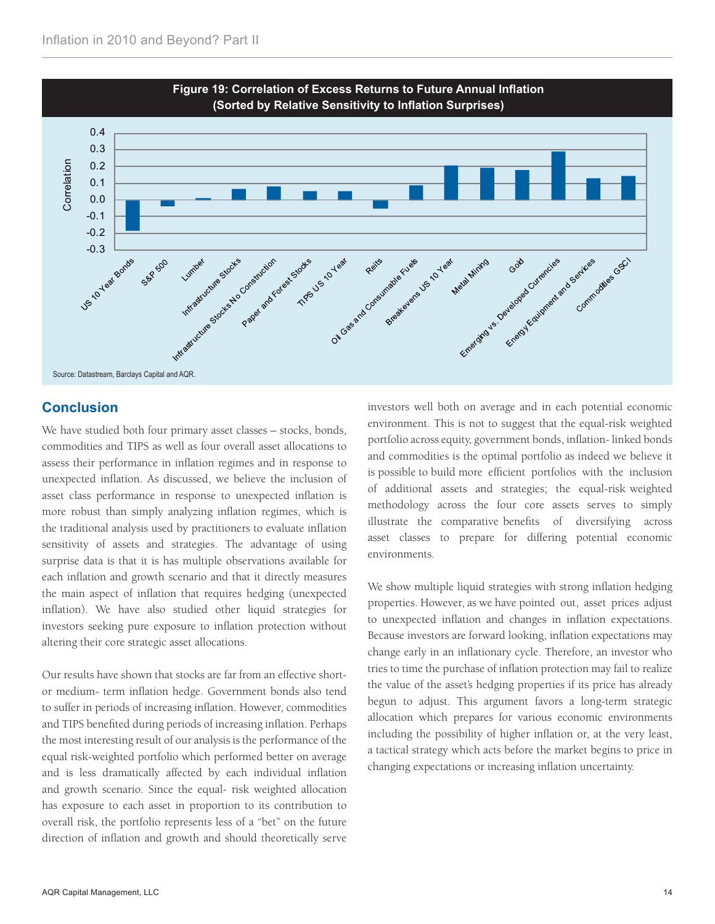

# **Conclusion**

We have studied both four primary asset classes - stocks, bonds, commodities and TIPS as well as four overall asset allocations to assess their performance in inflation regimes and in response to unexpected inflation. As discussed, we believe the inclusion of asset class performance in response to unexpected inflation is more robust than simply analyzing inflation regimes, which is the traditional analysis used by practitioners to evaluate inflation sensitivity of assets and strategies. The advantage of using surprise data is that it is has multiple observations available for each inflation and growth scenario and that it directly measures the main aspect of inflation that requires hedging (unexpected inflation). We have also studied other liquid strategies for investors seeking pure exposure to inflation protection without altering their core strategic asset allocations.

Our results have shown that stocks are far from an effective shortor medium- term inflation hedge. Government bonds also tend to suffer in periods of increasing inflation. However, commodities and TIPS benefited during periods of increasing inflation. Perhaps the most interesting result of our analysis is the performance of the equal risk-weighted portfolio which performed better on average and is less dramatically affected by each individual inflation and growth scenario. Since the equal- risk weighted allocation has exposure to each asset in proportion to its contribution to overall risk, the portfolio represents less of a "bet" on the future direction of inflation and growth and should theoretically serve

investors well both on average and in each potential economic environment. This is not to suggest that the equal-risk weighted portfolio across equity, government bonds, inflation- linked bonds and commodities is the optimal portfolio as indeed we believe it is possible to build more efficient portfolios with the inclusion of additional assets and strategies; the equal-risk weighted methodology across the four core assets serves to simply illustrate the comparative benefits of diversifying across asset classes to prepare for differing potential economic environments.

We show multiple liquid strategies with strong inflation hedging properties. However, as we have pointed out, asset prices adjust to unexpected inflation and changes in inflation expectations. Because investors are forward looking, inflation expectations may change early in an inflationary cycle. Therefore, an investor who tries to time the purchase of inflation protection may fail to realize the value of the asset's hedging properties if its price has already begun to adjust. This argument favors a long-term strategic allocation which prepares for various economic environments including the possibility of higher inflation or, at the very least, a tactical strategy which acts before the market begins to price in changing expectations or increasing inflation uncertainty.